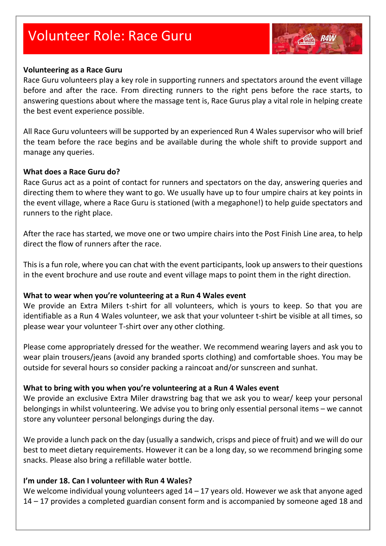# Volunteer Role: Race Guru



#### **Volunteering as a Race Guru**

Race Guru volunteers play a key role in supporting runners and spectators around the event village before and after the race. From directing runners to the right pens before the race starts, to answering questions about where the massage tent is, Race Gurus play a vital role in helping create the best event experience possible.

All Race Guru volunteers will be supported by an experienced Run 4 Wales supervisor who will brief the team before the race begins and be available during the whole shift to provide support and manage any queries.

#### **What does a Race Guru do?**

Race Gurus act as a point of contact for runners and spectators on the day, answering queries and directing them to where they want to go. We usually have up to four umpire chairs at key points in the event village, where a Race Guru is stationed (with a megaphone!) to help guide spectators and runners to the right place.

After the race has started, we move one or two umpire chairs into the Post Finish Line area, to help direct the flow of runners after the race.

This is a fun role, where you can chat with the event participants, look up answers to their questions in the event brochure and use route and event village maps to point them in the right direction.

#### **What to wear when you're volunteering at a Run 4 Wales event**

We provide an Extra Milers t-shirt for all volunteers, which is yours to keep. So that you are identifiable as a Run 4 Wales volunteer, we ask that your volunteer t-shirt be visible at all times, so please wear your volunteer T-shirt over any other clothing.

Please come appropriately dressed for the weather. We recommend wearing layers and ask you to wear plain trousers/jeans (avoid any branded sports clothing) and comfortable shoes. You may be outside for several hours so consider packing a raincoat and/or sunscreen and sunhat.

### **What to bring with you when you're volunteering at a Run 4 Wales event**

We provide an exclusive Extra Miler drawstring bag that we ask you to wear/ keep your personal belongings in whilst volunteering. We advise you to bring only essential personal items – we cannot store any volunteer personal belongings during the day.

We provide a lunch pack on the day (usually a sandwich, crisps and piece of fruit) and we will do our best to meet dietary requirements. However it can be a long day, so we recommend bringing some snacks. Please also bring a refillable water bottle.

### **I'm under 18. Can I volunteer with Run 4 Wales?**

We welcome individual young volunteers aged 14 – 17 years old. However we ask that anyone aged 14 – 17 provides a completed guardian consent form and is accompanied by someone aged 18 and